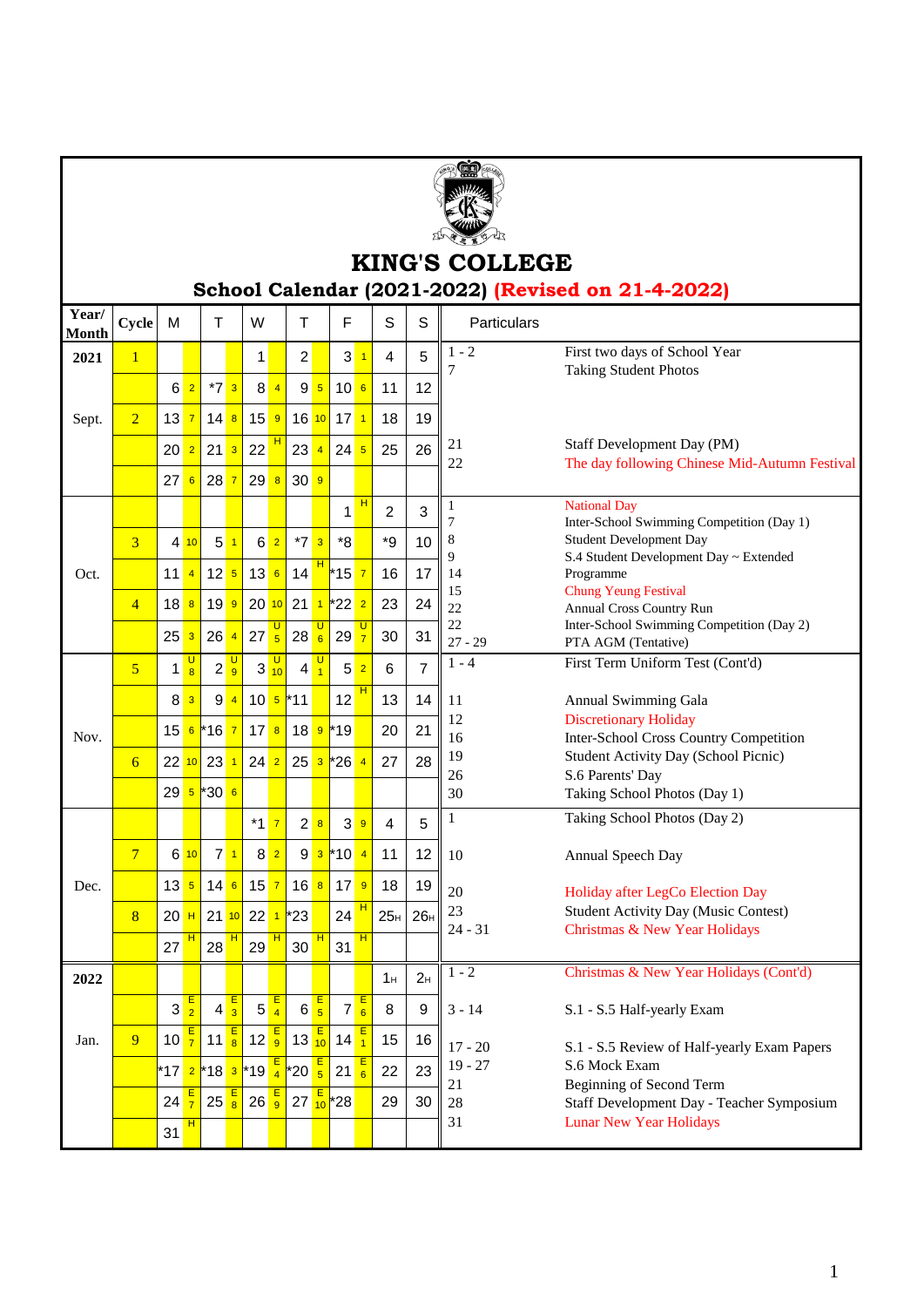

## **KING'S COLLEGE School Calendar (2021-2022) (Revised on 21-4-2022)**

|                                                                       | Particulars                                                          | S<br>S.                                                                                                                        | F    |                                                                                                                   | $\overline{w}$      |           | $Cycle$ M        | Year/<br><b>Month</b> |
|-----------------------------------------------------------------------|----------------------------------------------------------------------|--------------------------------------------------------------------------------------------------------------------------------|------|-------------------------------------------------------------------------------------------------------------------|---------------------|-----------|------------------|-----------------------|
| First two days of School Year<br><b>Taking Student Photos</b>         | $\begin{array}{ c c c c c } \hline 5 & 1 & -2 \\ \hline \end{array}$ | $\overline{4}$                                                                                                                 | $-3$ | $\overline{2}$                                                                                                    |                     |           |                  | 2021                  |
|                                                                       |                                                                      | 12<br>$\vert$ 11                                                                                                               |      | 8 <mark>4</mark> 95106                                                                                            |                     | 6 2 *7 3  |                  |                       |
|                                                                       |                                                                      | 18 19                                                                                                                          |      | 13 <mark>7</mark> 14 <mark>8</mark> 15 <mark>9</mark> 16 10 17 1                                                  |                     |           |                  | Sept.                 |
| Staff Development Day (PM)                                            |                                                                      | 20 2 21 3 22 1 23 4 24 5 25 26 21                                                                                              |      |                                                                                                                   |                     |           |                  |                       |
| The day following Chinese Mid-Autumn Festival                         |                                                                      | $\frac{1}{22}$ 22                                                                                                              |      |                                                                                                                   | 27 6 28 7 29 8 30 9 |           |                  |                       |
| <b>National Day</b>                                                   |                                                                      | $\overline{2}$<br>$\mathbf{3}$                                                                                                 |      |                                                                                                                   |                     |           |                  |                       |
| Inter-School Swimming Competition (Day 1)<br>Student Development Day  |                                                                      | $\frac{1}{1}$ *9   10   8                                                                                                      |      |                                                                                                                   |                     |           |                  |                       |
| S.4 Student Development Day ~ Extended<br>Programme                   |                                                                      | $\blacksquare$ 16 $\blacksquare$<br>$17$ 14                                                                                    |      | 11 4 12 5 13 6 14 1 15 7                                                                                          |                     |           |                  | Oct.                  |
| <b>Chung Yeung Festival</b>                                           | $-$ 15                                                               |                                                                                                                                |      |                                                                                                                   |                     |           |                  |                       |
| Annual Cross Country Run<br>Inter-School Swimming Competition (Day 2) | $\vert$ 22                                                           | 18 8 19 9 20 10 21 1 22 2 23 24 22                                                                                             |      |                                                                                                                   |                     |           |                  |                       |
| PTA AGM (Tentative)<br>First Term Uniform Test (Cont'd)               | $-7$   1 - 4                                                         | $25$ 3 26 4 27 $\frac{6}{5}$ 28 $\frac{6}{6}$ 29 $\frac{7}{7}$ 30 31 $\frac{22}{27-29}$                                        |      |                                                                                                                   |                     |           |                  |                       |
|                                                                       |                                                                      | 6 <sup>6</sup>                                                                                                                 |      | $1\frac{0}{8}$ $2\frac{0}{9}$ $3\frac{0}{10}$ $4\frac{0}{1}$ $5\frac{2}{1}$                                       |                     |           |                  |                       |
| Annual Swimming Gala<br><b>Discretionary Holiday</b>                  |                                                                      | _8 <mark>_3</mark> _9 <mark>_4  </mark> 10 <mark>_5 </mark> *11 _   12 <sup>H</sup>   13   14    11 _                          |      | 15 6 16 7 17 8 18 9 19                                                                                            |                     |           |                  |                       |
| Inter-School Cross Country Competition                                |                                                                      | $\begin{array}{ c c c c }\n\hline\n20 & 21 & 12 \\ \hline\n16 & & & \n\end{array}$                                             |      |                                                                                                                   |                     |           |                  | Nov.                  |
| Student Activity Day (School Picnic)<br>S.6 Parents' Day              | $-$ 26                                                               | $28 \mid 19$                                                                                                                   |      | 22 10 23 1 24 2 25 3 26 4 27                                                                                      |                     |           |                  |                       |
| Taking School Photos (Day 1)                                          | $30^{\circ}$                                                         |                                                                                                                                |      |                                                                                                                   |                     | 29 5 30 6 |                  |                       |
| Taking School Photos (Day 2)                                          |                                                                      |                                                                                                                                |      |                                                                                                                   |                     |           |                  |                       |
| Annual Speech Day                                                     |                                                                      | 8 <mark>2   9 3 </mark> *10 <mark>4</mark> 11   12    10                                                                       |      |                                                                                                                   |                     | 71        | $6\overline{10}$ |                       |
| Holiday after LegCo Election Day                                      |                                                                      | 13 5 14 6 15 7 16 8 17 9 18 19 20                                                                                              |      |                                                                                                                   |                     |           |                  | Dec.                  |
| Student Activity Day (Music Contest)                                  |                                                                      | $20$ $\frac{H}{21}$ 21 $\frac{10}{10}$ 22 $\frac{1}{1}$ $\frac{23}{10}$ 24 $\frac{H}{10}$ 25 $\frac{1}{10}$ 26 $\frac{23}{24}$ |      |                                                                                                                   |                     |           |                  |                       |
| Christmas & New Year Holidays                                         | $\frac{20\pi}{24 - 31}$                                              |                                                                                                                                |      | $27 \frac{\frac{12}{11}}{28} 29 \frac{\frac{11}{11}}{29} 30 \frac{\frac{11}{11}}{21} 31 \frac{\frac{11}{11}}{21}$ |                     |           |                  |                       |
| Christmas & New Year Holidays (Cont'd)                                | $2_H$ $1 - 2$                                                        | $1_H$                                                                                                                          |      |                                                                                                                   |                     |           |                  | 2022                  |
| S.1 - S.5 Half-yearly Exam                                            |                                                                      |                                                                                                                                |      |                                                                                                                   |                     |           |                  |                       |
|                                                                       |                                                                      |                                                                                                                                |      |                                                                                                                   |                     |           |                  | Jan.                  |
| S.1 - S.5 Review of Half-yearly Exam Papers<br>S.6 Mock Exam          |                                                                      |                                                                                                                                |      |                                                                                                                   |                     |           |                  |                       |
| Beginning of Second Term<br>Staff Development Day - Teacher Symposium |                                                                      |                                                                                                                                |      |                                                                                                                   |                     |           |                  |                       |
| <b>Lunar New Year Holidays</b>                                        |                                                                      | $\frac{1}{31}$                                                                                                                 |      |                                                                                                                   |                     |           | 31 <sup>H</sup>  |                       |
|                                                                       |                                                                      |                                                                                                                                |      |                                                                                                                   |                     |           |                  |                       |